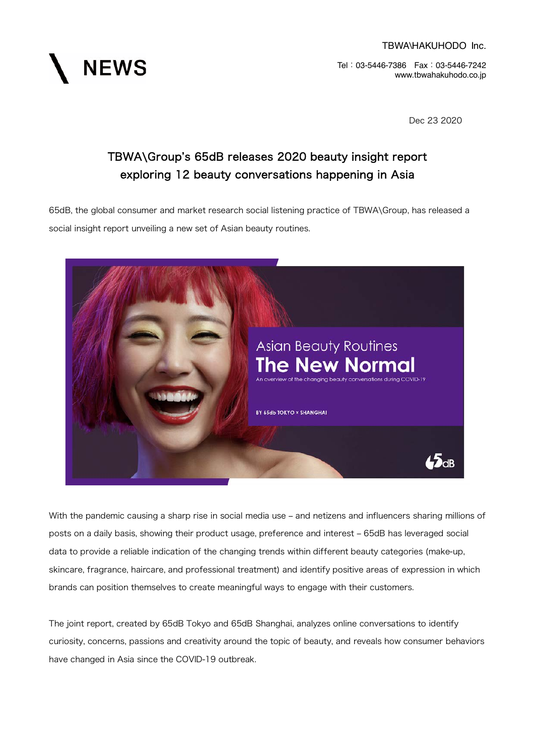**NEWS** 

Tel:03-5446-7386 Fax:03-5446-7242 www.tbwahakuhodo.co.jp

Dec 23 2020

# TBWA\Group's 65dB releases 2020 beauty insight report exploring 12 beauty conversations happening in Asia

65dB, the global consumer and market research social listening practice of TBWA\Group, has released a social insight report unveiling a new set of Asian beauty routines.



With the pandemic causing a sharp rise in social media use – and netizens and influencers sharing millions of posts on a daily basis, showing their product usage, preference and interest – 65dB has leveraged social data to provide a reliable indication of the changing trends within different beauty categories (make-up, skincare, fragrance, haircare, and professional treatment) and identify positive areas of expression in which brands can position themselves to create meaningful ways to engage with their customers.

The joint report, created by 65dB Tokyo and 65dB Shanghai, analyzes online conversations to identify curiosity, concerns, passions and creativity around the topic of beauty, and reveals how consumer behaviors have changed in Asia since the COVID-19 outbreak.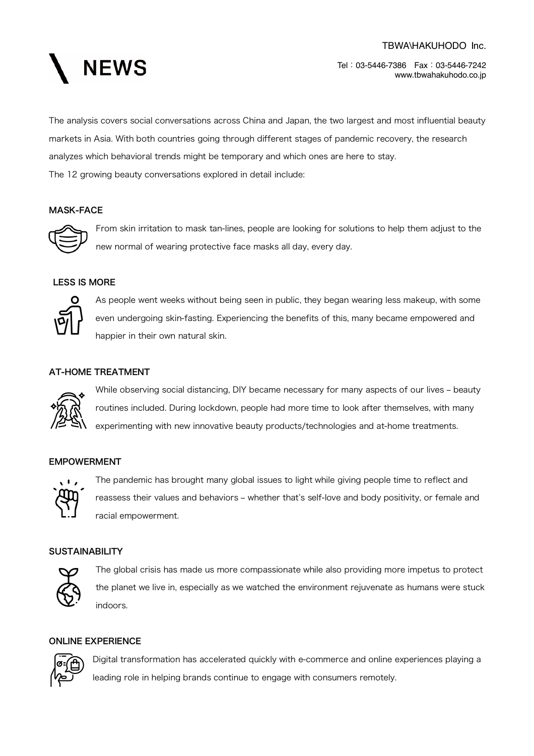

Tel:03-5446-7386 Fax:03-5446-7242 www.tbwahakuhodo.co.jp

The analysis covers social conversations across China and Japan, the two largest and most influential beauty markets in Asia. With both countries going through different stages of pandemic recovery, the research analyzes which behavioral trends might be temporary and which ones are here to stay. The 12 growing beauty conversations explored in detail include:

## MASK-FACE



From skin irritation to mask tan-lines, people are looking for solutions to help them adjust to the new normal of wearing protective face masks all day, every day.

# LESS IS MORE



As people went weeks without being seen in public, they began wearing less makeup, with some even undergoing skin-fasting. Experiencing the benefits of this, many became empowered and happier in their own natural skin.

#### AT-HOME TREATMENT



While observing social distancing, DIY became necessary for many aspects of our lives - beauty routines included. During lockdown, people had more time to look after themselves, with many experimenting with new innovative beauty products/technologies and at-home treatments.

## EMPOWERMENT



The pandemic has brought many global issues to light while giving people time to reflect and reassess their values and behaviors - whether that's self-love and body positivity, or female and racial empowerment.

## **SUSTAINABILITY**



The global crisis has made us more compassionate while also providing more impetus to protect the planet we live in, especially as we watched the environment rejuvenate as humans were stuck indoors.

## ONLINE EXPERIENCE



Digital transformation has accelerated quickly with e-commerce and online experiences playing a leading role in helping brands continue to engage with consumers remotely.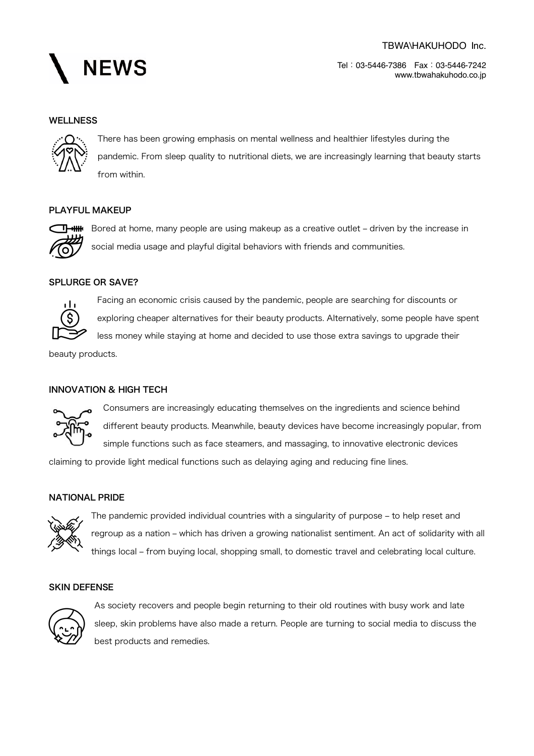

Tel:03-5446-7386 Fax:03-5446-7242 www.tbwahakuhodo.co.jp

#### **WELLNESS**



There has been growing emphasis on mental wellness and healthier lifestyles during the pandemic. From sleep quality to nutritional diets, we are increasingly learning that beauty starts from within.

## PLAYFUL MAKEUP



Bored at home, many people are using makeup as a creative outlet - driven by the increase in social media usage and playful digital behaviors with friends and communities.

## SPLURGE OR SAVE?



Facing an economic crisis caused by the pandemic, people are searching for discounts or exploring cheaper alternatives for their beauty products. Alternatively, some people have spent less money while staying at home and decided to use those extra savings to upgrade their

beauty products.

## INNOVATION & HIGH TECH



Consumers are increasingly educating themselves on the ingredients and science behind different beauty products. Meanwhile, beauty devices have become increasingly popular, from simple functions such as face steamers, and massaging, to innovative electronic devices

claiming to provide light medical functions such as delaying aging and reducing fine lines.

#### NATIONAL PRIDE



The pandemic provided individual countries with a singularity of purpose - to help reset and regroup as a nation - which has driven a growing nationalist sentiment. An act of solidarity with all things local - from buying local, shopping small, to domestic travel and celebrating local culture.

### SKIN DEFENSE



As society recovers and people begin returning to their old routines with busy work and late sleep, skin problems have also made a return. People are turning to social media to discuss the best products and remedies.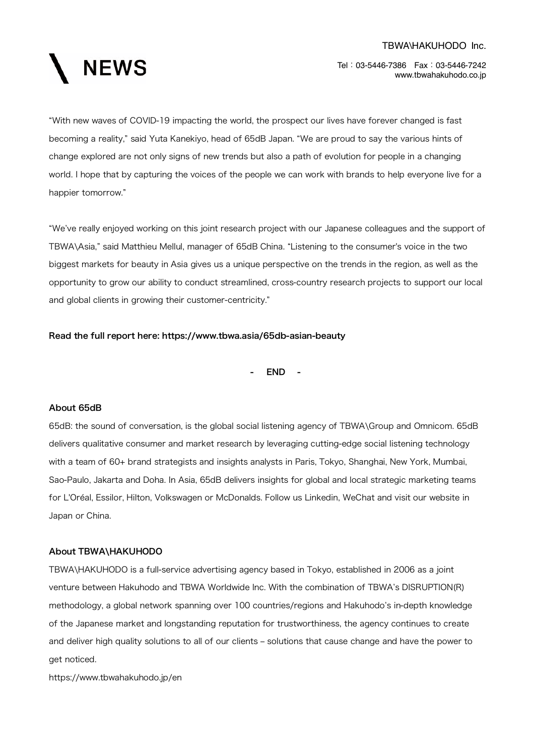

Tel:03-5446-7386 Fax:03-5446-7242 www.tbwahakuhodo.co.jp

"With new waves of COVID-19 impacting the world, the prospect our lives have forever changed is fast becoming a reality," said Yuta Kanekiyo, head of 65dB Japan. "We are proud to say the various hints of change explored are not only signs of new trends but also a path of evolution for people in a changing world. I hope that by capturing the voices of the people we can work with brands to help everyone live for a happier tomorrow."

"We've really enjoyed working on this joint research project with our Japanese colleagues and the support of TBWA\Asia," said Matthieu Mellul, manager of 65dB China. "Listening to the consumer's voice in the two biggest markets for beauty in Asia gives us a unique perspective on the trends in the region, as well as the opportunity to grow our ability to conduct streamlined, cross-country research projects to support our local and global clients in growing their customer-centricity."

## Read the full report here: https://www.tbwa.asia/65db-asian-beauty

- END -

#### About 65dB

65dB: the sound of conversation, is the global social listening agency of TBWA\Group and Omnicom. 65dB delivers qualitative consumer and market research by leveraging cutting-edge social listening technology with a team of 60+ brand strategists and insights analysts in Paris, Tokyo, Shanghai, New York, Mumbai, Sao-Paulo, Jakarta and Doha. In Asia, 65dB delivers insights for global and local strategic marketing teams for L'Oréal, Essilor, Hilton, Volkswagen or McDonalds. Follow us Linkedin, WeChat and visit our website in Japan or China.

#### About TBWA\HAKUHODO

TBWA\HAKUHODO is a full-service advertising agency based in Tokyo, established in 2006 as a joint venture between Hakuhodo and TBWA Worldwide Inc. With the combination of TBWA's DISRUPTION(R) methodology, a global network spanning over 100 countries/regions and Hakuhodo's in-depth knowledge of the Japanese market and longstanding reputation for trustworthiness, the agency continues to create and deliver high quality solutions to all of our clients – solutions that cause change and have the power to get noticed.

https://www.tbwahakuhodo.jp/en